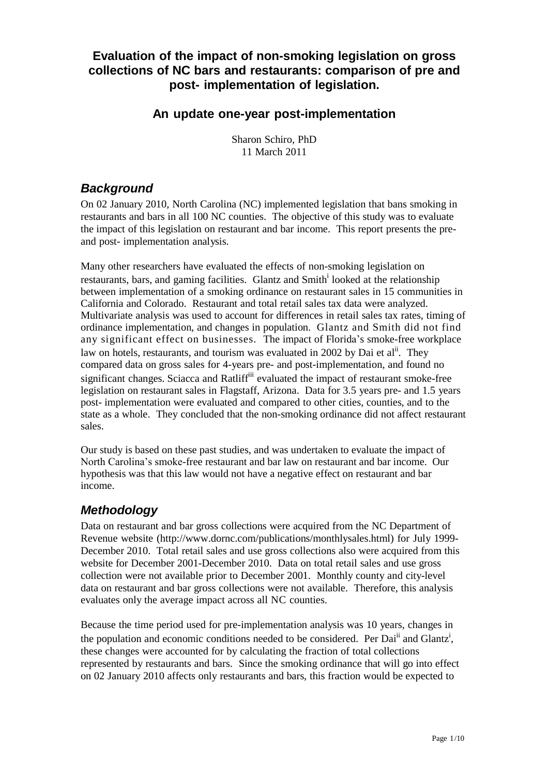#### **Evaluation of the impact of non-smoking legislation on gross collections of NC bars and restaurants: comparison of pre and post- implementation of legislation.**

#### **An update one-year post-implementation**

Sharon Schiro, PhD 11 March 2011

#### *Background*

On 02 January 2010, North Carolina (NC) implemented legislation that bans smoking in restaurants and bars in all 100 NC counties. The objective of this study was to evaluate the impact of this legislation on restaurant and bar income. This report presents the preand post- implementation analysis.

Many other researchers have evaluated the effects of non-smoking legislation on restaurants, bars, and gaming facilities. Glantz and Smith<sup>i</sup> looked at the relationship between implementation of a smoking ordinance on restaurant sales in 15 communities in California and Colorado. Restaurant and total retail sales tax data were analyzed. Multivariate analysis was used to account for differences in retail sales tax rates, timing of ordinance implementation, and changes in population. Glantz and Smith did not find any significant effect on businesses. The impact of Florida's smoke-free workplace law on hotels, restaurants, and tourism was evaluated in 2002 by Dai et al<sup>ii</sup>. They compared data on gross sales for 4-years pre- and post-implementation, and found no significant changes. Sciacca and Ratliff<sup>iii</sup> evaluated the impact of restaurant smoke-free legislation on restaurant sales in Flagstaff, Arizona. Data for 3.5 years pre- and 1.5 years post- implementation were evaluated and compared to other cities, counties, and to the state as a whole. They concluded that the non-smoking ordinance did not affect restaurant sales.

Our study is based on these past studies, and was undertaken to evaluate the impact of North Carolina's smoke-free restaurant and bar law on restaurant and bar income. Our hypothesis was that this law would not have a negative effect on restaurant and bar income.

#### *Methodology*

Data on restaurant and bar gross collections were acquired from the NC Department of Revenue website [\(http://www.dornc.com/publications/monthlysales.html\)](http://www.dornc.com/publications/monthlysales.html)) for July 1999- December 2010. Total retail sales and use gross collections also were acquired from this website for December 2001-December 2010. Data on total retail sales and use gross collection were not available prior to December 2001. Monthly county and city-level data on restaurant and bar gross collections were not available. Therefore, this analysis evaluates only the average impact across all NC counties.

Because the time period used for pre-implementation analysis was 10 years, changes in the population and economic conditions needed to be considered. Per Dai<sup>ii</sup> and Glantz<sup>i</sup>, these changes were accounted for by calculating the fraction of total collections represented by restaurants and bars. Since the smoking ordinance that will go into effect on 02 January 2010 affects only restaurants and bars, this fraction would be expected to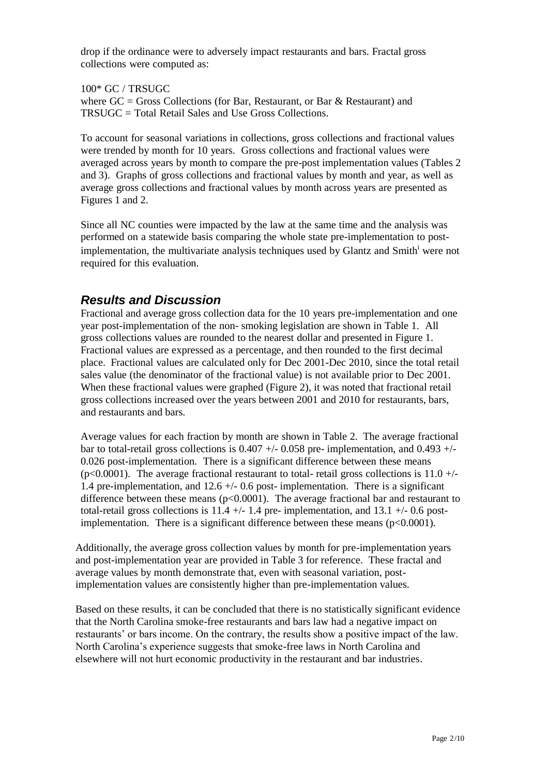drop if the ordinance were to adversely impact restaurants and bars. Fractal gross collections were computed as:

100\* GC / TRSUGC where  $GC = Gross$  Collections (for Bar, Restaurant, or Bar & Restaurant) and TRSUGC = Total Retail Sales and Use Gross Collections.

To account for seasonal variations in collections, gross collections and fractional values were trended by month for 10 years. Gross collections and fractional values were averaged across years by month to compare the pre-post implementation values (Tables 2 and 3). Graphs of gross collections and fractional values by month and year, as well as average gross collections and fractional values by month across years are presented as Figures 1 and 2.

Since all NC counties were impacted by the law at the same time and the analysis was performed on a statewide basis comparing the whole state pre-implementation to postimplementation, the multivariate analysis techniques used by Glantz and Smith<sup>i</sup> were not required for this evaluation.

#### *Results and Discussion*

Fractional and average gross collection data for the 10 years pre-implementation and one year post-implementation of the non- smoking legislation are shown in Table 1. All gross collections values are rounded to the nearest dollar and presented in Figure 1. Fractional values are expressed as a percentage, and then rounded to the first decimal place. Fractional values are calculated only for Dec 2001-Dec 2010, since the total retail sales value (the denominator of the fractional value) is not available prior to Dec 2001. When these fractional values were graphed (Figure 2), it was noted that fractional retail gross collections increased over the years between 2001 and 2010 for restaurants, bars, and restaurants and bars.

Average values for each fraction by month are shown in Table 2. The average fractional bar to total-retail gross collections is  $0.407 +1$  - 0.058 pre- implementation, and  $0.493 +1$ 0.026 post-implementation. There is a significant difference between these means  $(p<0.0001)$ . The average fractional restaurant to total-retail gross collections is 11.0 +/-1.4 pre-implementation, and 12.6 +/- 0.6 post- implementation. There is a significant difference between these means ( $p<0.0001$ ). The average fractional bar and restaurant to total-retail gross collections is  $11.4 +/- 1.4$  pre-implementation, and  $13.1 +/- 0.6$  postimplementation. There is a significant difference between these means  $(p<0.0001)$ .

Additionally, the average gross collection values by month for pre-implementation years and post-implementation year are provided in Table 3 for reference. These fractal and average values by month demonstrate that, even with seasonal variation, postimplementation values are consistently higher than pre-implementation values.

Based on these results, it can be concluded that there is no statistically significant evidence that the North Carolina smoke-free restaurants and bars law had a negative impact on restaurants' or bars income. On the contrary, the results show a positive impact of the law. North Carolina's experience suggests that smoke-free laws in North Carolina and elsewhere will not hurt economic productivity in the restaurant and bar industries.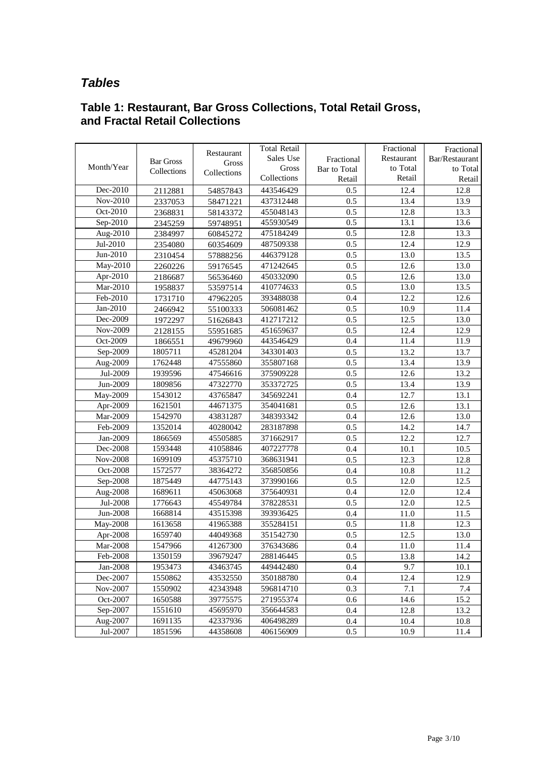#### *Tables*

| Table 1: Restaurant, Bar Gross Collections, Total Retail Gross, |  |  |
|-----------------------------------------------------------------|--|--|
| and Fractal Retail Collections                                  |  |  |

|            |                  |                     | Total Retail |              | Fractional | Fractional     |
|------------|------------------|---------------------|--------------|--------------|------------|----------------|
|            | <b>Bar Gross</b> | Restaurant<br>Gross | Sales Use    | Fractional   | Restaurant | Bar/Restaurant |
| Month/Year | Collections      | Collections         | Gross        | Bar to Total | to Total   | to Total       |
|            |                  |                     | Collections  | Retail       | Retail     | Retail         |
| Dec-2010   | 2112881          | 54857843            | 443546429    | 0.5          | 12.4       | 12.8           |
| Nov-2010   | 2337053          | 58471221            | 437312448    | 0.5          | 13.4       | 13.9           |
| Oct-2010   | 2368831          | 58143372            | 455048143    | 0.5          | 12.8       | 13.3           |
| Sep-2010   | 2345259          | 59748951            | 455930549    | 0.5          | 13.1       | 13.6           |
| Aug-2010   | 2384997          | 60845272            | 475184249    | 0.5          | 12.8       | 13.3           |
| Jul-2010   | 2354080          | 60354609            | 487509338    | 0.5          | 12.4       | 12.9           |
| Jun-2010   | 2310454          | 57888256            | 446379128    | 0.5          | 13.0       | 13.5           |
| May-2010   | 2260226          | 59176545            | 471242645    | 0.5          | 12.6       | 13.0           |
| Apr-2010   | 2186687          | 56536460            | 450332090    | 0.5          | 12.6       | 13.0           |
| Mar-2010   | 1958837          | 53597514            | 410774633    | 0.5          | 13.0       | 13.5           |
| Feb-2010   | 1731710          | 47962205            | 393488038    | 0.4          | 12.2       | 12.6           |
| Jan-2010   | 2466942          | 55100333            | 506081462    | 0.5          | 10.9       | 11.4           |
| Dec-2009   | 1972297          | 51626843            | 412717212    | 0.5          | 12.5       | 13.0           |
| Nov-2009   | 2128155          | 55951685            | 451659637    | 0.5          | 12.4       | 12.9           |
| Oct-2009   | 1866551          | 49679960            | 443546429    | 0.4          | 11.4       | 11.9           |
| Sep-2009   | 1805711          | 45281204            | 343301403    | 0.5          | 13.2       | 13.7           |
| Aug-2009   | 1762448          | 47555860            | 355807168    | 0.5          | 13.4       | 13.9           |
| Jul-2009   | 1939596          | 47546616            | 375909228    | 0.5          | 12.6       | 13.2           |
| Jun-2009   | 1809856          | 47322770            | 353372725    | 0.5          | 13.4       | 13.9           |
| May-2009   | 1543012          | 43765847            | 345692241    | 0.4          | 12.7       | 13.1           |
| Apr-2009   | 1621501          | 44671375            | 354041681    | 0.5          | 12.6       | 13.1           |
| Mar-2009   | 1542970          | 43831287            | 348393342    | 0.4          | 12.6       | 13.0           |
| Feb-2009   | 1352014          | 40280042            | 283187898    | 0.5          | 14.2       | 14.7           |
| Jan-2009   | 1866569          | 45505885            | 371662917    | 0.5          | 12.2       | 12.7           |
| Dec-2008   | 1593448          | 41058846            | 407227778    | 0.4          | 10.1       | 10.5           |
| Nov-2008   | 1699109          | 45375710            | 368631941    | 0.5          | 12.3       | 12.8           |
| Oct-2008   | 1572577          | 38364272            | 356850856    | 0.4          | 10.8       | 11.2           |
| Sep-2008   | 1875449          | 44775143            | 373990166    | 0.5          | 12.0       | 12.5           |
| Aug-2008   | 1689611          | 45063068            | 375640931    | 0.4          | 12.0       | 12.4           |
| Jul-2008   | 1776643          | 45549784            | 378228531    | 0.5          | 12.0       | 12.5           |
| Jun-2008   | 1668814          | 43515398            | 393936425    | 0.4          | 11.0       | 11.5           |
| May-2008   | 1613658          | 41965388            | 355284151    | 0.5          | 11.8       | 12.3           |
| Apr-2008   | 1659740          | 44049368            | 351542730    | 0.5          | 12.5       | 13.0           |
| Mar-2008   | 1547966          | 41267300            | 376343686    | 0.4          | 11.0       | 11.4           |
| Feb-2008   | 1350159          | 39679247            | 288146445    | $0.5\,$      | 13.8       | 14.2           |
| Jan-2008   | 1953473          | 43463745            | 449442480    | 0.4          | 9.7        | 10.1           |
| Dec-2007   | 1550862          | 43532550            | 350188780    | 0.4          | 12.4       | 12.9           |
| Nov-2007   | 1550902          | 42343948            | 596814710    | 0.3          | 7.1        | 7.4            |
| Oct-2007   | 1650588          | 39775575            | 271955374    | 0.6          | 14.6       | 15.2           |
| Sep-2007   | 1551610          | 45695970            | 356644583    | 0.4          | 12.8       | 13.2           |
| Aug-2007   | 1691135          | 42337936            | 406498289    | 0.4          | 10.4       | 10.8           |
| Jul-2007   | 1851596          | 44358608            | 406156909    | 0.5          | 10.9       | 11.4           |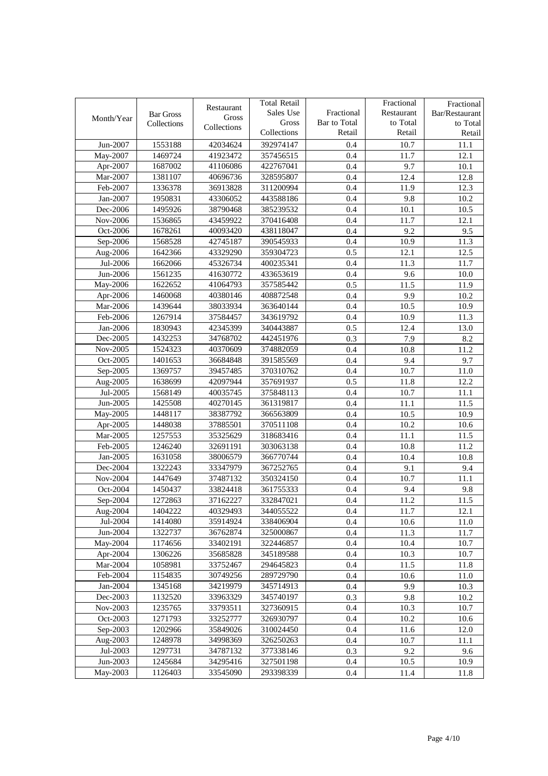|            | <b>Bar Gross</b> | Restaurant<br>Gross | <b>Total Retail</b><br>Sales Use | Fractional             | Fractional<br>Restaurant | Fractional<br>Bar/Restaurant |
|------------|------------------|---------------------|----------------------------------|------------------------|--------------------------|------------------------------|
| Month/Year | Collections      | Collections         | Gross<br>Collections             | Bar to Total<br>Retail | to Total<br>Retail       | to Total<br>Retail           |
| Jun-2007   | 1553188          | 42034624            | 392974147                        | 0.4                    | 10.7                     | 11.1                         |
| May-2007   | 1469724          | 41923472            | 357456515                        | 0.4                    | 11.7                     | 12.1                         |
| Apr-2007   | 1687002          | 41106086            | 422767041                        | 0.4                    | 9.7                      | 10.1                         |
| Mar-2007   | 1381107          | 40696736            | 328595807                        | 0.4                    | 12.4                     | 12.8                         |
| Feb-2007   | 1336378          | 36913828            | 311200994                        | 0.4                    | 11.9                     | 12.3                         |
| Jan-2007   | 1950831          | 43306052            | 443588186                        | 0.4                    | 9.8                      | 10.2                         |
| Dec-2006   | 1495926          | 38790468            | 385239532                        | 0.4                    | 10.1                     | 10.5                         |
| Nov-2006   | 1536865          | 43459922            | 370416408                        | 0.4                    | 11.7                     | 12.1                         |
| Oct-2006   | 1678261          | 40093420            | 438118047                        | 0.4                    | 9.2                      | 9.5                          |
| Sep-2006   | 1568528          | 42745187            | 390545933                        | 0.4                    | 10.9                     | 11.3                         |
| Aug-2006   | 1642366          | 43329290            | 359304723                        | 0.5                    | 12.1                     | 12.5                         |
| Jul-2006   | 1662066          | 45326734            | 400235341                        | 0.4                    | 11.3                     | 11.7                         |
| Jun-2006   | 1561235          | 41630772            | 433653619                        | 0.4                    | 9.6                      | 10.0                         |
| May-2006   | 1622652          | 41064793            | 357585442                        | 0.5                    | 11.5                     | 11.9                         |
| Apr-2006   | 1460068          | 40380146            | 408872548                        | 0.4                    | 9.9                      | 10.2                         |
| Mar-2006   | 1439644          | 38033934            | 363640144                        | 0.4                    | 10.5                     | 10.9                         |
| Feb-2006   | 1267914          | 37584457            | 343619792                        | 0.4                    | 10.9                     | 11.3                         |
| Jan-2006   | 1830943          | 42345399            | 340443887                        | 0.5                    | 12.4                     | 13.0                         |
| Dec-2005   | 1432253          | 34768702            | 442451976                        | 0.3                    | 7.9                      | 8.2                          |
| Nov-2005   | 1524323          | 40370609            | 374882059                        | 0.4                    | 10.8                     | 11.2                         |
| Oct-2005   | 1401653          | 36684848            | 391585569                        | 0.4                    | 9.4                      | 9.7                          |
| Sep-2005   | 1369757          | 39457485            | 370310762                        | 0.4                    | 10.7                     | 11.0                         |
| Aug-2005   | 1638699          | 42097944            | 357691937                        | 0.5                    | 11.8                     | 12.2                         |
| Jul-2005   | 1568149          | 40035745            | 375848113                        | 0.4                    | 10.7                     | 11.1                         |
| Jun-2005   | 1425508          | 40270145            | 361319817                        | 0.4                    | 11.1                     | 11.5                         |
| May-2005   | 1448117          | 38387792            | 366563809                        | 0.4                    | 10.5                     | 10.9                         |
| Apr-2005   | 1448038          | 37885501            | 370511108                        | 0.4                    | 10.2                     | 10.6                         |
| Mar-2005   | 1257553          | 35325629            | 318683416                        | 0.4                    | 11.1                     | 11.5                         |
| Feb-2005   | 1246240          | 32691191            | 303063138                        | 0.4                    | 10.8                     | 11.2                         |
| Jan-2005   | 1631058          | 38006579            | 366770744                        | 0.4                    | 10.4                     | 10.8                         |
| Dec-2004   | 1322243          | 33347979            | 367252765                        | 0.4                    | 9.1                      | 9.4                          |
| Nov-2004   | 1447649          | 37487132            | 350324150                        | 0.4                    | 10.7                     | 11.1                         |
| Oct-2004   | 1450437          | 33824418            | 361755333                        | 0.4                    | 9.4                      | 9.8                          |
| Sep-2004   | 1272863          | 37162227            | 332847021                        | 0.4                    | 11.2                     | 11.5                         |
| Aug-2004   | 1404222          | 40329493            | 344055522                        | 0.4                    | 11.7                     | 12.1                         |
| Jul-2004   | 1414080          | 35914924            | 338406904                        | 0.4                    | 10.6                     | 11.0                         |
| Jun-2004   | 1322737          | 36762874            | 325000867                        | 0.4                    | 11.3                     | 11.7                         |
| May-2004   | 1174656          | 33402191            | 322446857                        | 0.4                    | 10.4                     | 10.7                         |
| Apr-2004   | 1306226          | 35685828            | 345189588                        | 0.4                    | 10.3                     | 10.7                         |
| Mar-2004   | 1058981          | 33752467            | 294645823                        | 0.4                    | 11.5                     | 11.8                         |
| Feb-2004   | 1154835          | 30749256            | 289729790                        | 0.4                    | 10.6                     | 11.0                         |
| Jan-2004   | 1345168          | 34219979            | 345714913                        | 0.4                    | 9.9                      | 10.3                         |
| Dec-2003   | 1132520          | 33963329            | 345740197                        | 0.3                    | 9.8                      | 10.2                         |
| Nov-2003   | 1235765          | 33793511            | 327360915                        | 0.4                    | 10.3                     | 10.7                         |
| Oct-2003   | 1271793          | 33252777            | 326930797                        | 0.4                    | 10.2                     | 10.6                         |
| Sep-2003   | 1202966          | 35849026            | 310024450                        | 0.4                    | 11.6                     | 12.0                         |
| Aug-2003   | 1248978          | 34998369            | 326250263                        | 0.4                    | 10.7                     | 11.1                         |
| Jul-2003   | 1297731          | 34787132            | 377338146                        | 0.3                    | 9.2                      | 9.6                          |
| Jun-2003   | 1245684          | 34295416            | 327501198                        | 0.4                    | 10.5                     | 10.9                         |
| May-2003   | 1126403          | 33545090            | 293398339                        | 0.4                    | 11.4                     | 11.8                         |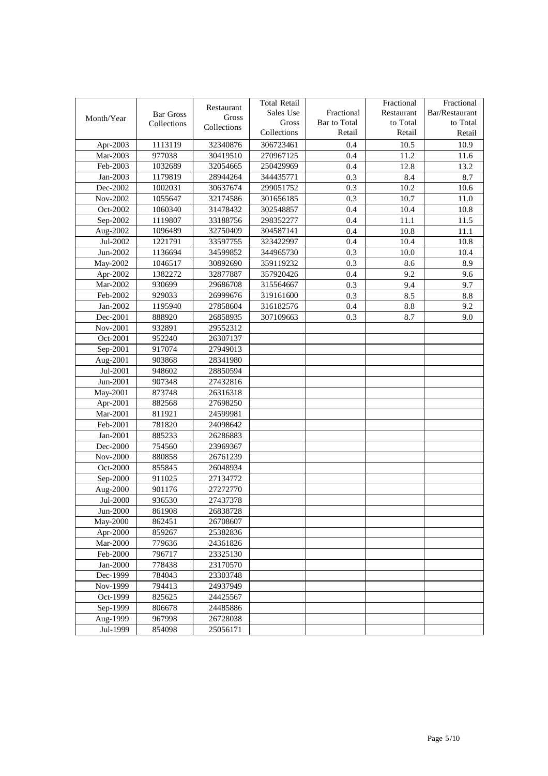|            |                  |             | <b>Total Retail</b> |              | Fractional | Fractional     |
|------------|------------------|-------------|---------------------|--------------|------------|----------------|
|            | <b>Bar Gross</b> | Restaurant  | Sales Use           | Fractional   | Restaurant | Bar/Restaurant |
| Month/Year | Collections      | Gross       | Gross               | Bar to Total | to Total   | to Total       |
|            |                  | Collections | Collections         | Retail       | Retail     | Retail         |
| Apr-2003   | 1113119          | 32340876    | 306723461           | 0.4          | 10.5       | 10.9           |
| Mar-2003   | 977038           | 30419510    | 270967125           | 0.4          | 11.2       | 11.6           |
| Feb-2003   | 1032689          | 32054665    | 250429969           | 0.4          | 12.8       | 13.2           |
| Jan-2003   | 1179819          | 28944264    | 344435771           | 0.3          | 8.4        | 8.7            |
| Dec-2002   | 1002031          | 30637674    | 299051752           | 0.3          | 10.2       | 10.6           |
| Nov-2002   | 1055647          | 32174586    | 301656185           | 0.3          | 10.7       | 11.0           |
| Oct-2002   | 1060340          | 31478432    | 302548857           | 0.4          | 10.4       | 10.8           |
| Sep-2002   | 1119807          | 33188756    | 298352277           | 0.4          | 11.1       | 11.5           |
| Aug-2002   | 1096489          | 32750409    | 304587141           | 0.4          | 10.8       | 11.1           |
| Jul-2002   | 1221791          | 33597755    | 323422997           | 0.4          | 10.4       | 10.8           |
| Jun-2002   | 1136694          | 34599852    | 344965730           | 0.3          | 10.0       | 10.4           |
| May-2002   | 1046517          | 30892690    | 359119232           | 0.3          | 8.6        | 8.9            |
| Apr-2002   | 1382272          | 32877887    | 357920426           | 0.4          | 9.2        | 9.6            |
| Mar-2002   | 930699           | 29686708    | 315564667           | 0.3          | 9.4        | 9.7            |
| Feb-2002   | 929033           | 26999676    | 319161600           | 0.3          | 8.5        | 8.8            |
| Jan-2002   | 1195940          | 27858604    | 316182576           | 0.4          | 8.8        | 9.2            |
| Dec-2001   | 888920           | 26858935    | 307109663           | 0.3          | 8.7        | 9.0            |
| Nov-2001   | 932891           | 29552312    |                     |              |            |                |
| Oct-2001   | 952240           | 26307137    |                     |              |            |                |
| Sep-2001   | 917074           | 27949013    |                     |              |            |                |
| Aug-2001   | 903868           | 28341980    |                     |              |            |                |
| Jul-2001   | 948602           | 28850594    |                     |              |            |                |
| Jun-2001   | 907348           | 27432816    |                     |              |            |                |
| May-2001   | 873748           | 26316318    |                     |              |            |                |
| Apr-2001   | 882568           | 27698250    |                     |              |            |                |
| Mar-2001   | 811921           | 24599981    |                     |              |            |                |
| Feb-2001   | 781820           | 24098642    |                     |              |            |                |
| Jan-2001   | 885233           | 26286883    |                     |              |            |                |
| Dec-2000   | 754560           | 23969367    |                     |              |            |                |
| Nov-2000   | 880858           | 26761239    |                     |              |            |                |
| Oct-2000   | 855845           | 26048934    |                     |              |            |                |
| Sep-2000   | 911025           | 27134772    |                     |              |            |                |
| Aug-2000   | 901176           | 27272770    |                     |              |            |                |
| Jul-2000   | 936530           | 27437378    |                     |              |            |                |
| Jun-2000   | 861908           | 26838728    |                     |              |            |                |
| May-2000   | 862451           | 26708607    |                     |              |            |                |
| Apr-2000   | 859267           | 25382836    |                     |              |            |                |
| Mar-2000   | 779636           | 24361826    |                     |              |            |                |
| Feb-2000   | 796717           | 23325130    |                     |              |            |                |
| Jan-2000   | 778438           | 23170570    |                     |              |            |                |
| Dec-1999   | 784043           | 23303748    |                     |              |            |                |
| Nov-1999   | 794413           | 24937949    |                     |              |            |                |
| Oct-1999   | 825625           | 24425567    |                     |              |            |                |
| Sep-1999   | 806678           | 24485886    |                     |              |            |                |
| Aug-1999   | 967998           | 26728038    |                     |              |            |                |
| Jul-1999   | 854098           | 25056171    |                     |              |            |                |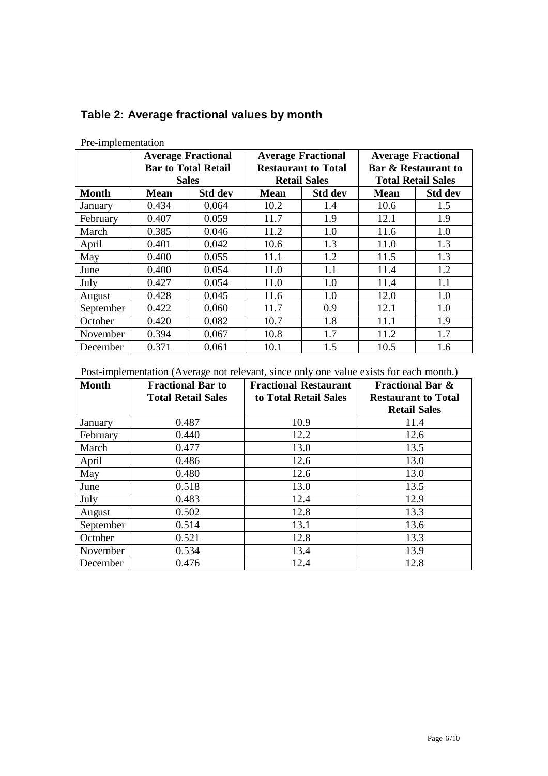|              | <b>Average Fractional</b> |                            | <b>Average Fractional</b> |                            | <b>Average Fractional</b>      |                |
|--------------|---------------------------|----------------------------|---------------------------|----------------------------|--------------------------------|----------------|
|              |                           | <b>Bar to Total Retail</b> |                           | <b>Restaurant to Total</b> | <b>Bar &amp; Restaurant to</b> |                |
|              |                           | <b>Sales</b>               | <b>Retail Sales</b>       |                            | <b>Total Retail Sales</b>      |                |
| <b>Month</b> | <b>Mean</b>               | <b>Std dev</b>             | <b>Mean</b>               | <b>Std dev</b>             | <b>Mean</b>                    | <b>Std dev</b> |
| January      | 0.434                     | 0.064                      | 10.2                      | 1.4                        | 10.6                           | 1.5            |
| February     | 0.407                     | 0.059                      | 11.7                      | 1.9                        | 12.1                           | 1.9            |
| March        | 0.385                     | 0.046                      | 11.2                      | 1.0                        | 11.6                           | 1.0            |
| April        | 0.401                     | 0.042                      | 10.6                      | 1.3                        | 11.0                           | 1.3            |
| May          | 0.400                     | 0.055                      | 11.1                      | 1.2                        | 11.5                           | 1.3            |
| June         | 0.400                     | 0.054                      | 11.0                      | 1.1                        | 11.4                           | 1.2            |
| July         | 0.427                     | 0.054                      | 11.0                      | 1.0                        | 11.4                           | 1.1            |
| August       | 0.428                     | 0.045                      | 11.6                      | 1.0                        | 12.0                           | 1.0            |
| September    | 0.422                     | 0.060                      | 11.7                      | 0.9                        | 12.1                           | 1.0            |
| October      | 0.420                     | 0.082                      | 10.7                      | 1.8                        | 11.1                           | 1.9            |
| November     | 0.394                     | 0.067                      | 10.8                      | 1.7                        | 11.2                           | 1.7            |
| December     | 0.371                     | 0.061                      | 10.1                      | 1.5                        | 10.5                           | 1.6            |

#### **Table 2: Average fractional values by month**

Pre-implementation

Post-implementation (Average not relevant, since only one value exists for each month.)

| <b>Month</b> | <b>Fractional Bar to</b><br><b>Total Retail Sales</b> | <b>Fractional Restaurant</b><br>to Total Retail Sales | <b>Fractional Bar &amp;</b><br><b>Restaurant to Total</b><br><b>Retail Sales</b> |
|--------------|-------------------------------------------------------|-------------------------------------------------------|----------------------------------------------------------------------------------|
| January      | 0.487                                                 | 10.9                                                  | 11.4                                                                             |
| February     | 0.440                                                 | 12.2                                                  | 12.6                                                                             |
| March        | 0.477                                                 | 13.0                                                  | 13.5                                                                             |
| April        | 0.486                                                 | 12.6                                                  | 13.0                                                                             |
| May          | 0.480                                                 | 12.6                                                  | 13.0                                                                             |
| June         | 0.518                                                 | 13.0                                                  | 13.5                                                                             |
| July         | 0.483                                                 | 12.4                                                  | 12.9                                                                             |
| August       | 0.502                                                 | 12.8                                                  | 13.3                                                                             |
| September    | 0.514                                                 | 13.1                                                  | 13.6                                                                             |
| October      | 0.521                                                 | 12.8                                                  | 13.3                                                                             |
| November     | 0.534                                                 | 13.4                                                  | 13.9                                                                             |
| December     | 0.476                                                 | 12.4                                                  | 12.8                                                                             |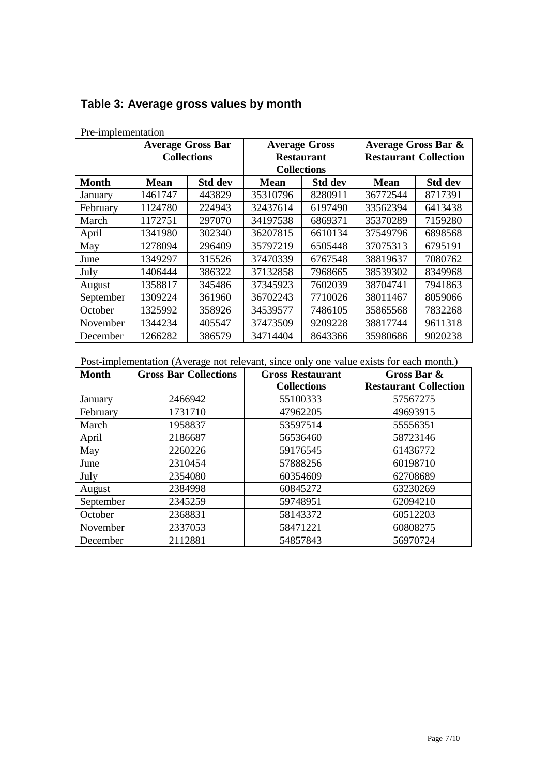|              | <b>Average Gross Bar</b><br><b>Collections</b> |                | <b>Average Gross</b><br><b>Restaurant</b><br><b>Collections</b> |                | <b>Average Gross Bar &amp;</b><br><b>Restaurant Collection</b> |                |
|--------------|------------------------------------------------|----------------|-----------------------------------------------------------------|----------------|----------------------------------------------------------------|----------------|
| <b>Month</b> | <b>Mean</b>                                    | <b>Std dev</b> | <b>Mean</b>                                                     | <b>Std dev</b> | <b>Mean</b>                                                    | <b>Std dev</b> |
| January      | 1461747                                        | 443829         | 35310796                                                        | 8280911        | 36772544                                                       | 8717391        |
| February     | 1124780                                        | 224943         | 32437614                                                        | 6197490        | 33562394                                                       | 6413438        |
| March        | 1172751                                        | 297070         | 34197538                                                        | 6869371        | 35370289                                                       | 7159280        |
| April        | 1341980                                        | 302340         | 36207815                                                        | 6610134        | 37549796                                                       | 6898568        |
| May          | 1278094                                        | 296409         | 35797219                                                        | 6505448        | 37075313                                                       | 6795191        |
| June         | 1349297                                        | 315526         | 37470339                                                        | 6767548        | 38819637                                                       | 7080762        |
| July         | 1406444                                        | 386322         | 37132858                                                        | 7968665        | 38539302                                                       | 8349968        |
| August       | 1358817                                        | 345486         | 37345923                                                        | 7602039        | 38704741                                                       | 7941863        |
| September    | 1309224                                        | 361960         | 36702243                                                        | 7710026        | 38011467                                                       | 8059066        |
| October      | 1325992                                        | 358926         | 34539577                                                        | 7486105        | 35865568                                                       | 7832268        |
| November     | 1344234                                        | 405547         | 37473509                                                        | 9209228        | 38817744                                                       | 9611318        |
| December     | 1266282                                        | 386579         | 34714404                                                        | 8643366        | 35980686                                                       | 9020238        |

#### **Table 3: Average gross values by month**

Pre-implementation

Post-implementation (Average not relevant, since only one value exists for each month.)

| <b>Month</b> | <b>Gross Bar Collections</b> | <b>Gross Restaurant</b> | Gross Bar &                  |
|--------------|------------------------------|-------------------------|------------------------------|
|              |                              | <b>Collections</b>      | <b>Restaurant Collection</b> |
| January      | 2466942                      | 55100333                | 57567275                     |
| February     | 1731710                      | 47962205                | 49693915                     |
| March        | 1958837                      | 53597514                | 55556351                     |
| April        | 2186687                      | 56536460                | 58723146                     |
| May          | 2260226                      | 59176545                | 61436772                     |
| June         | 2310454                      | 57888256                | 60198710                     |
| July         | 2354080                      | 60354609                | 62708689                     |
| August       | 2384998                      | 60845272                | 63230269                     |
| September    | 2345259                      | 59748951                | 62094210                     |
| October      | 2368831                      | 58143372                | 60512203                     |
| November     | 2337053                      | 58471221                | 60808275                     |
| December     | 2112881                      | 54857843                | 56970724                     |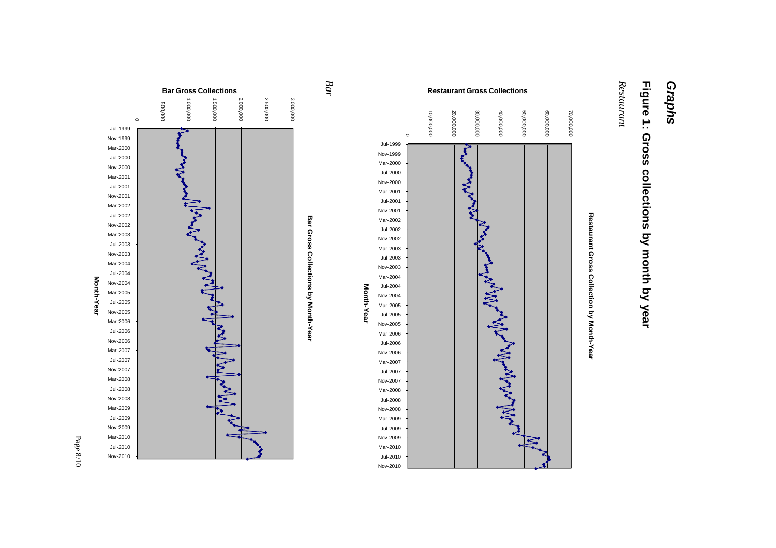# *Graphs*

## **Figure 1: Gross collections by month by year**

Restaurant *Restaurant*



**staurant Gross Collections** 

**Restaurant Gross Collection by Month-Year**



**Bar Gross Collecti** 

*Bar*

**ons Re**

Page 8/10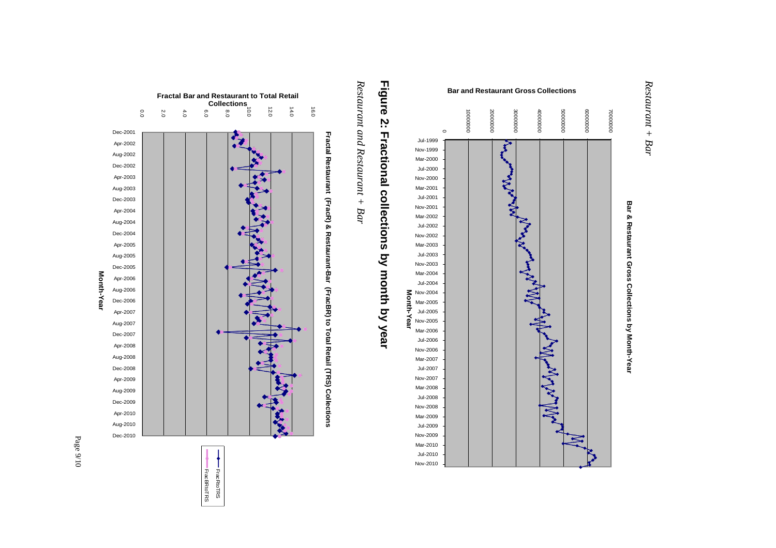





### Figure **Figure 2: Fractional**  $\mathbf{v}$ **Fractional collections collections by month by year**

*Restaurant and Restaurant + Bar*